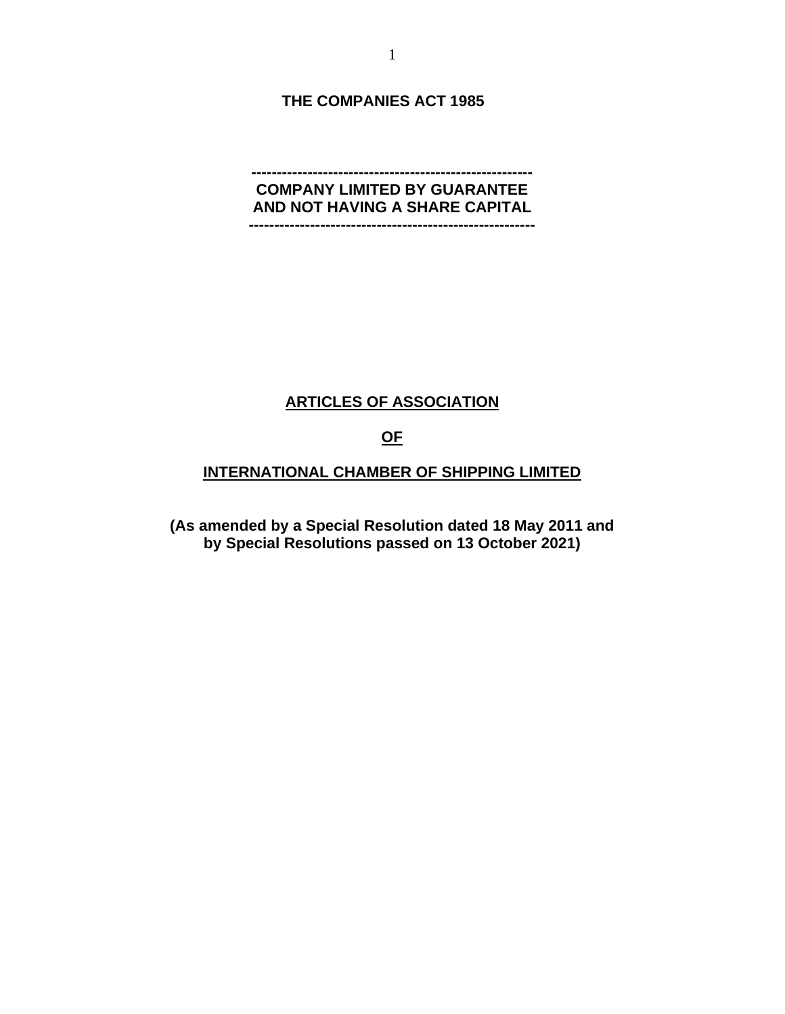**THE COMPANIES ACT 1985**

#### **------------------------------------------------------- COMPANY LIMITED BY GUARANTEE AND NOT HAVING A SHARE CAPITAL --------------------------------------------------------**

### **ARTICLES OF ASSOCIATION**

#### **OF**

### **INTERNATIONAL CHAMBER OF SHIPPING LIMITED**

**(As amended by a Special Resolution dated 18 May 2011 and by Special Resolutions passed on 13 October 2021)**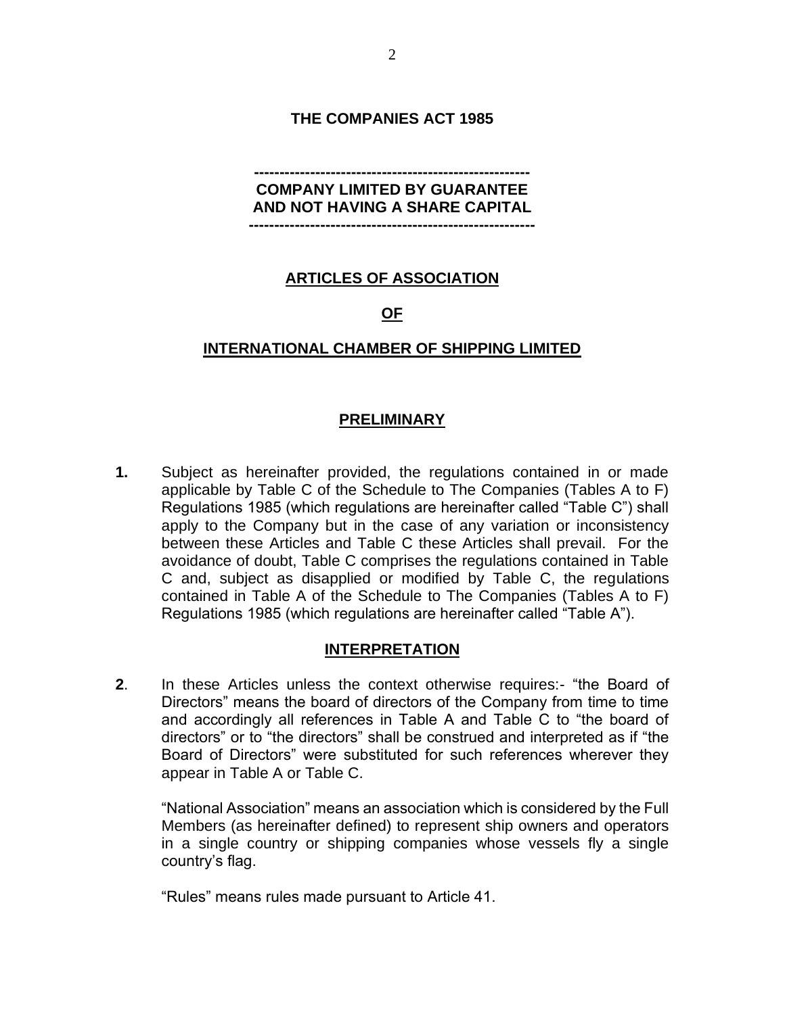### **THE COMPANIES ACT 1985**

### **------------------------------------------------------ COMPANY LIMITED BY GUARANTEE AND NOT HAVING A SHARE CAPITAL --------------------------------------------------------**

## **ARTICLES OF ASSOCIATION**

## **OF**

### **INTERNATIONAL CHAMBER OF SHIPPING LIMITED**

### **PRELIMINARY**

**1.** Subject as hereinafter provided, the regulations contained in or made applicable by Table C of the Schedule to The Companies (Tables A to F) Regulations 1985 (which regulations are hereinafter called "Table C") shall apply to the Company but in the case of any variation or inconsistency between these Articles and Table C these Articles shall prevail. For the avoidance of doubt, Table C comprises the regulations contained in Table C and, subject as disapplied or modified by Table C, the regulations contained in Table A of the Schedule to The Companies (Tables A to F) Regulations 1985 (which regulations are hereinafter called "Table A").

### **INTERPRETATION**

**2**. In these Articles unless the context otherwise requires:- "the Board of Directors" means the board of directors of the Company from time to time and accordingly all references in Table A and Table C to "the board of directors" or to "the directors" shall be construed and interpreted as if "the Board of Directors" were substituted for such references wherever they appear in Table A or Table C.

"National Association" means an association which is considered by the Full Members (as hereinafter defined) to represent ship owners and operators in a single country or shipping companies whose vessels fly a single country's flag.

"Rules" means rules made pursuant to Article 41.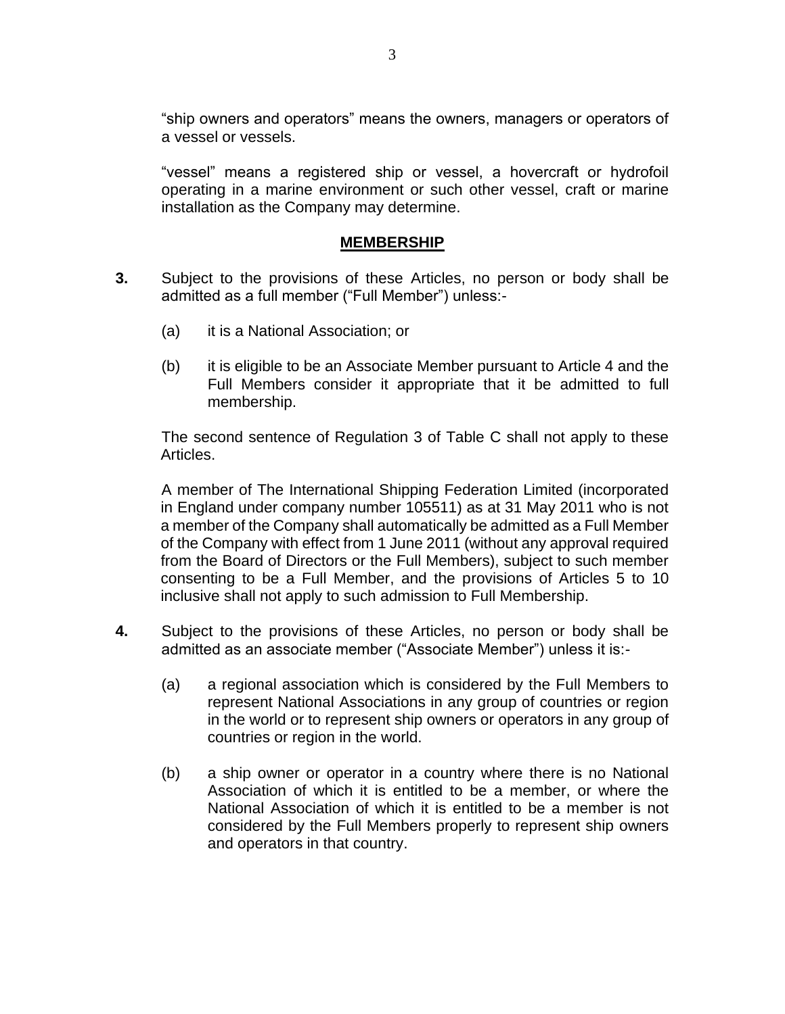"ship owners and operators" means the owners, managers or operators of a vessel or vessels.

"vessel" means a registered ship or vessel, a hovercraft or hydrofoil operating in a marine environment or such other vessel, craft or marine installation as the Company may determine.

### **MEMBERSHIP**

- **3.** Subject to the provisions of these Articles, no person or body shall be admitted as a full member ("Full Member") unless:-
	- (a) it is a National Association; or
	- (b) it is eligible to be an Associate Member pursuant to Article 4 and the Full Members consider it appropriate that it be admitted to full membership.

The second sentence of Regulation 3 of Table C shall not apply to these Articles.

A member of The International Shipping Federation Limited (incorporated in England under company number 105511) as at 31 May 2011 who is not a member of the Company shall automatically be admitted as a Full Member of the Company with effect from 1 June 2011 (without any approval required from the Board of Directors or the Full Members), subject to such member consenting to be a Full Member, and the provisions of Articles 5 to 10 inclusive shall not apply to such admission to Full Membership.

- **4.** Subject to the provisions of these Articles, no person or body shall be admitted as an associate member ("Associate Member") unless it is:-
	- (a) a regional association which is considered by the Full Members to represent National Associations in any group of countries or region in the world or to represent ship owners or operators in any group of countries or region in the world.
	- (b) a ship owner or operator in a country where there is no National Association of which it is entitled to be a member, or where the National Association of which it is entitled to be a member is not considered by the Full Members properly to represent ship owners and operators in that country.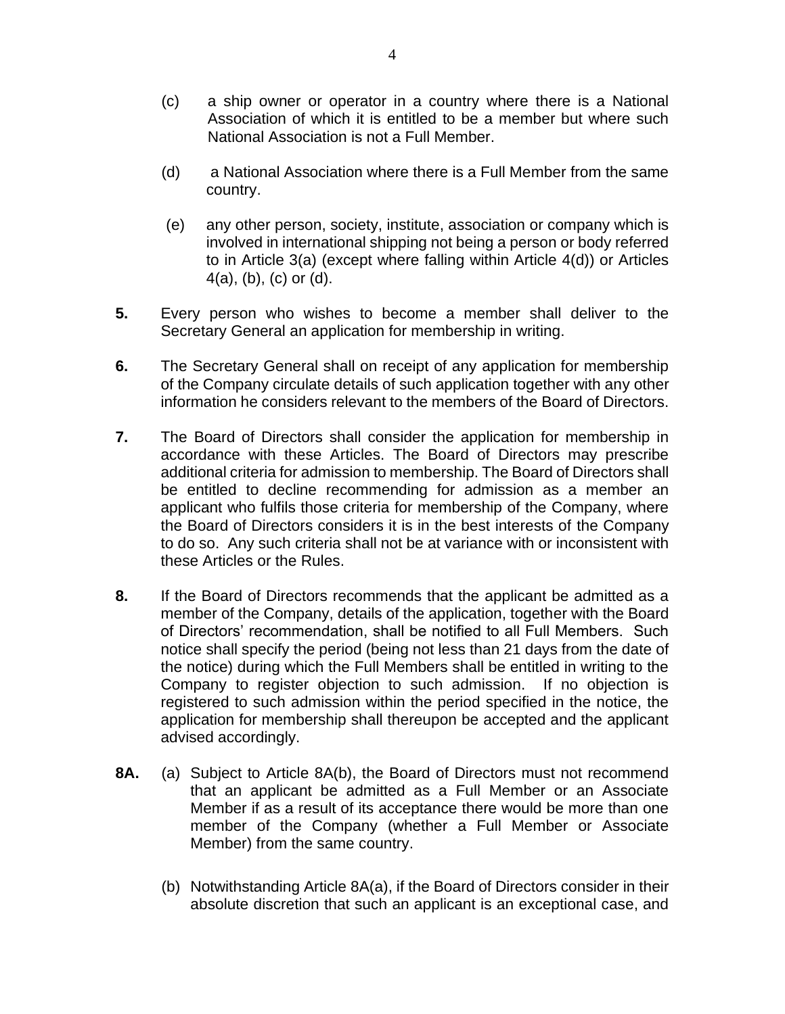- (c) a ship owner or operator in a country where there is a National Association of which it is entitled to be a member but where such National Association is not a Full Member.
- (d) a National Association where there is a Full Member from the same country.
- (e) any other person, society, institute, association or company which is involved in international shipping not being a person or body referred to in Article 3(a) (except where falling within Article 4(d)) or Articles 4(a), (b), (c) or (d).
- **5.** Every person who wishes to become a member shall deliver to the Secretary General an application for membership in writing.
- **6.** The Secretary General shall on receipt of any application for membership of the Company circulate details of such application together with any other information he considers relevant to the members of the Board of Directors.
- **7.** The Board of Directors shall consider the application for membership in accordance with these Articles. The Board of Directors may prescribe additional criteria for admission to membership. The Board of Directors shall be entitled to decline recommending for admission as a member an applicant who fulfils those criteria for membership of the Company, where the Board of Directors considers it is in the best interests of the Company to do so. Any such criteria shall not be at variance with or inconsistent with these Articles or the Rules.
- **8.** If the Board of Directors recommends that the applicant be admitted as a member of the Company, details of the application, together with the Board of Directors' recommendation, shall be notified to all Full Members. Such notice shall specify the period (being not less than 21 days from the date of the notice) during which the Full Members shall be entitled in writing to the Company to register objection to such admission. If no objection is registered to such admission within the period specified in the notice, the application for membership shall thereupon be accepted and the applicant advised accordingly.
- **8A.** (a) Subject to Article 8A(b), the Board of Directors must not recommend that an applicant be admitted as a Full Member or an Associate Member if as a result of its acceptance there would be more than one member of the Company (whether a Full Member or Associate Member) from the same country.
	- (b) Notwithstanding Article 8A(a), if the Board of Directors consider in their absolute discretion that such an applicant is an exceptional case, and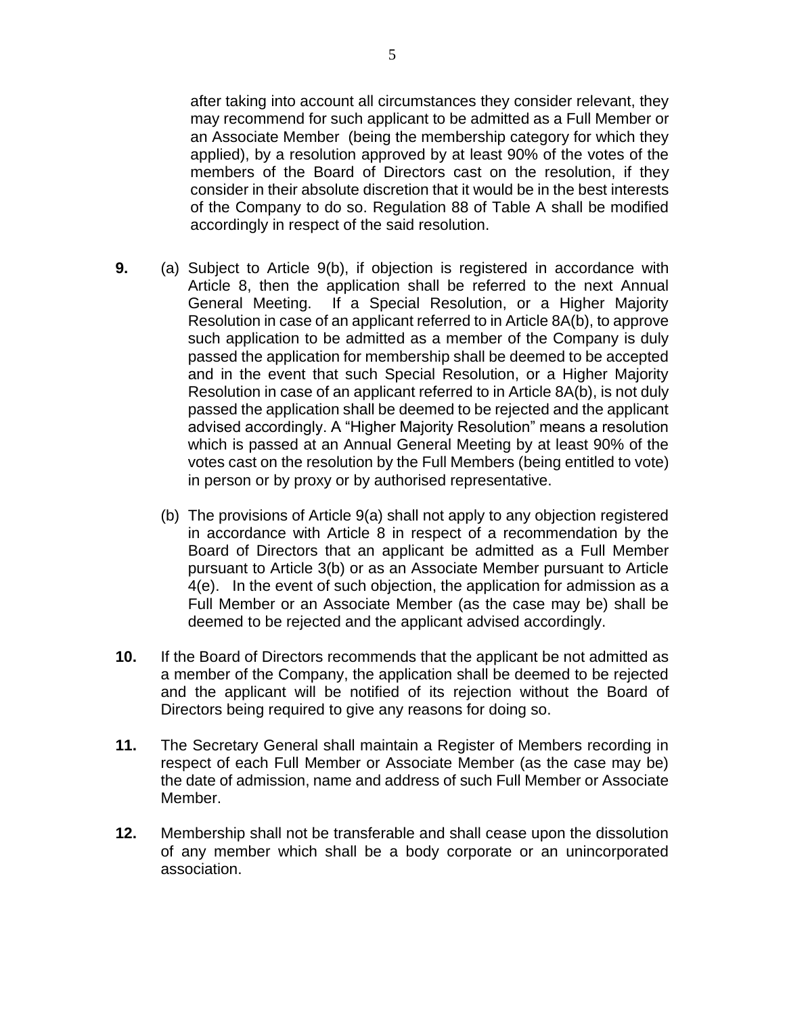after taking into account all circumstances they consider relevant, they may recommend for such applicant to be admitted as a Full Member or an Associate Member (being the membership category for which they applied), by a resolution approved by at least 90% of the votes of the members of the Board of Directors cast on the resolution, if they consider in their absolute discretion that it would be in the best interests of the Company to do so. Regulation 88 of Table A shall be modified accordingly in respect of the said resolution.

- **9.** (a) Subject to Article 9(b), if objection is registered in accordance with Article 8, then the application shall be referred to the next Annual General Meeting. If a Special Resolution, or a Higher Majority Resolution in case of an applicant referred to in Article 8A(b), to approve such application to be admitted as a member of the Company is duly passed the application for membership shall be deemed to be accepted and in the event that such Special Resolution, or a Higher Majority Resolution in case of an applicant referred to in Article 8A(b), is not duly passed the application shall be deemed to be rejected and the applicant advised accordingly. A "Higher Majority Resolution" means a resolution which is passed at an Annual General Meeting by at least 90% of the votes cast on the resolution by the Full Members (being entitled to vote) in person or by proxy or by authorised representative.
	- (b) The provisions of Article 9(a) shall not apply to any objection registered in accordance with Article 8 in respect of a recommendation by the Board of Directors that an applicant be admitted as a Full Member pursuant to Article 3(b) or as an Associate Member pursuant to Article 4(e). In the event of such objection, the application for admission as a Full Member or an Associate Member (as the case may be) shall be deemed to be rejected and the applicant advised accordingly.
- **10.** If the Board of Directors recommends that the applicant be not admitted as a member of the Company, the application shall be deemed to be rejected and the applicant will be notified of its rejection without the Board of Directors being required to give any reasons for doing so.
- **11.** The Secretary General shall maintain a Register of Members recording in respect of each Full Member or Associate Member (as the case may be) the date of admission, name and address of such Full Member or Associate Member.
- **12.** Membership shall not be transferable and shall cease upon the dissolution of any member which shall be a body corporate or an unincorporated association.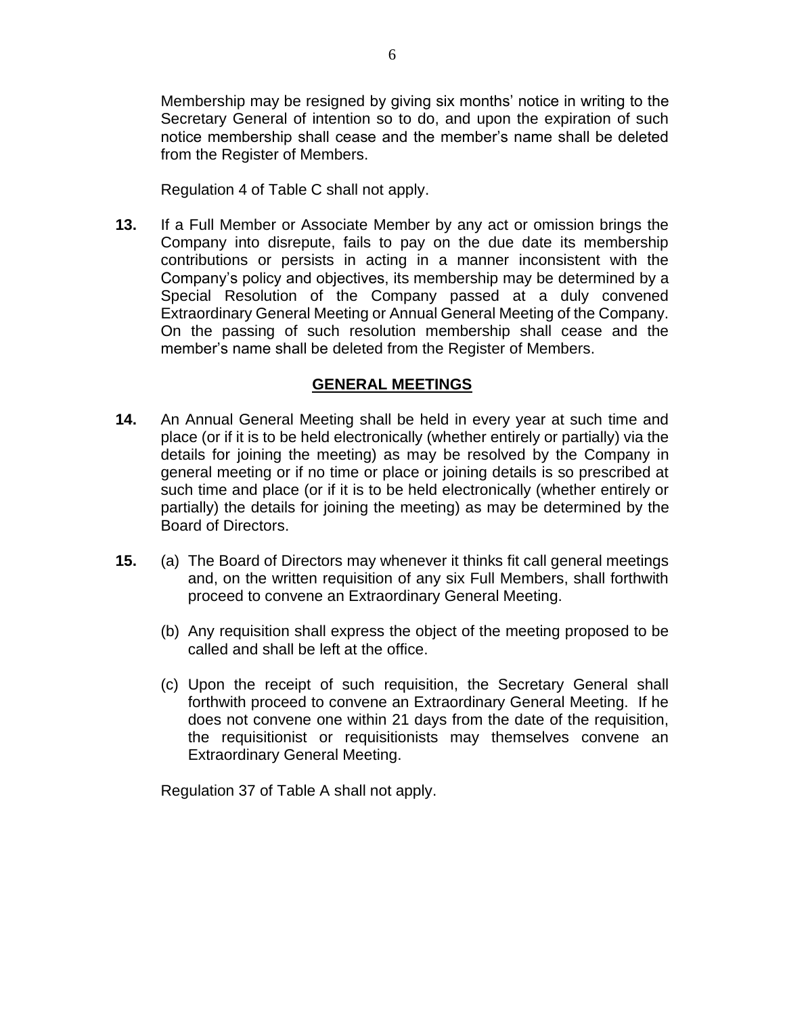Membership may be resigned by giving six months' notice in writing to the Secretary General of intention so to do, and upon the expiration of such notice membership shall cease and the member's name shall be deleted from the Register of Members.

Regulation 4 of Table C shall not apply.

**13.** If a Full Member or Associate Member by any act or omission brings the Company into disrepute, fails to pay on the due date its membership contributions or persists in acting in a manner inconsistent with the Company's policy and objectives, its membership may be determined by a Special Resolution of the Company passed at a duly convened Extraordinary General Meeting or Annual General Meeting of the Company. On the passing of such resolution membership shall cease and the member's name shall be deleted from the Register of Members.

### **GENERAL MEETINGS**

- **14.** An Annual General Meeting shall be held in every year at such time and place (or if it is to be held electronically (whether entirely or partially) via the details for joining the meeting) as may be resolved by the Company in general meeting or if no time or place or joining details is so prescribed at such time and place (or if it is to be held electronically (whether entirely or partially) the details for joining the meeting) as may be determined by the Board of Directors.
- **15.** (a) The Board of Directors may whenever it thinks fit call general meetings and, on the written requisition of any six Full Members, shall forthwith proceed to convene an Extraordinary General Meeting.
	- (b) Any requisition shall express the object of the meeting proposed to be called and shall be left at the office.
	- (c) Upon the receipt of such requisition, the Secretary General shall forthwith proceed to convene an Extraordinary General Meeting. If he does not convene one within 21 days from the date of the requisition, the requisitionist or requisitionists may themselves convene an Extraordinary General Meeting.

Regulation 37 of Table A shall not apply.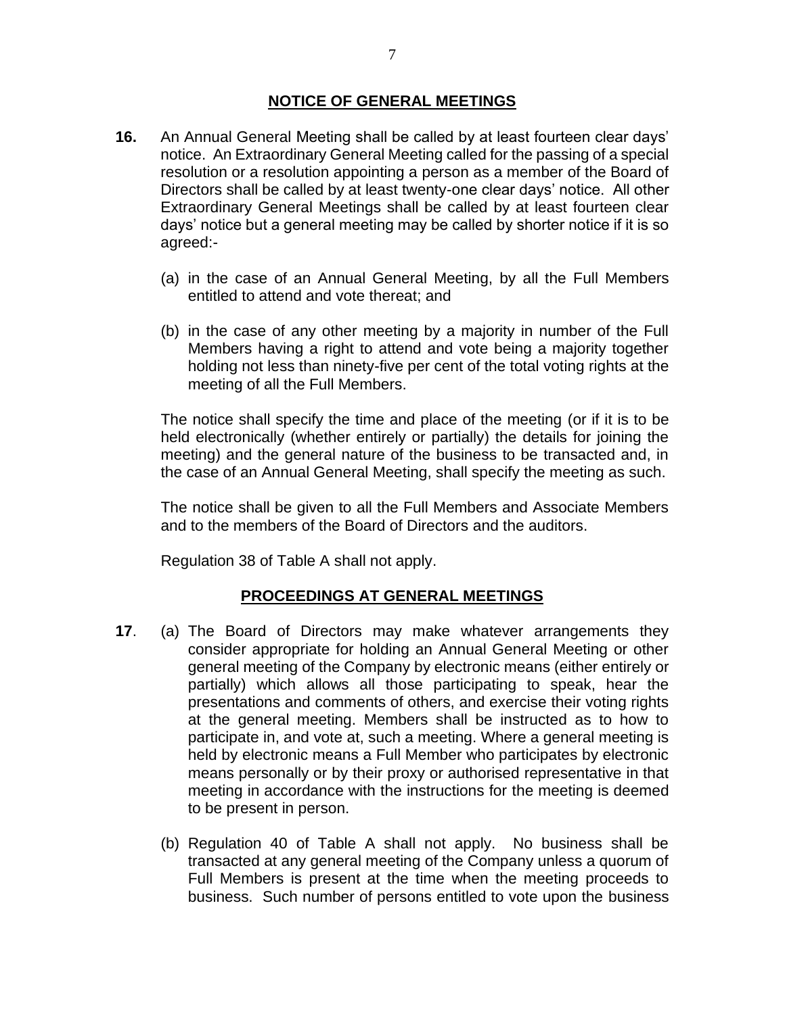### **NOTICE OF GENERAL MEETINGS**

- **16.** An Annual General Meeting shall be called by at least fourteen clear days' notice. An Extraordinary General Meeting called for the passing of a special resolution or a resolution appointing a person as a member of the Board of Directors shall be called by at least twenty-one clear days' notice. All other Extraordinary General Meetings shall be called by at least fourteen clear days' notice but a general meeting may be called by shorter notice if it is so agreed:-
	- (a) in the case of an Annual General Meeting, by all the Full Members entitled to attend and vote thereat; and
	- (b) in the case of any other meeting by a majority in number of the Full Members having a right to attend and vote being a majority together holding not less than ninety-five per cent of the total voting rights at the meeting of all the Full Members.

The notice shall specify the time and place of the meeting (or if it is to be held electronically (whether entirely or partially) the details for joining the meeting) and the general nature of the business to be transacted and, in the case of an Annual General Meeting, shall specify the meeting as such.

The notice shall be given to all the Full Members and Associate Members and to the members of the Board of Directors and the auditors.

Regulation 38 of Table A shall not apply.

### **PROCEEDINGS AT GENERAL MEETINGS**

- **17**. (a) The Board of Directors may make whatever arrangements they consider appropriate for holding an Annual General Meeting or other general meeting of the Company by electronic means (either entirely or partially) which allows all those participating to speak, hear the presentations and comments of others, and exercise their voting rights at the general meeting. Members shall be instructed as to how to participate in, and vote at, such a meeting. Where a general meeting is held by electronic means a Full Member who participates by electronic means personally or by their proxy or authorised representative in that meeting in accordance with the instructions for the meeting is deemed to be present in person.
	- (b) Regulation 40 of Table A shall not apply. No business shall be transacted at any general meeting of the Company unless a quorum of Full Members is present at the time when the meeting proceeds to business. Such number of persons entitled to vote upon the business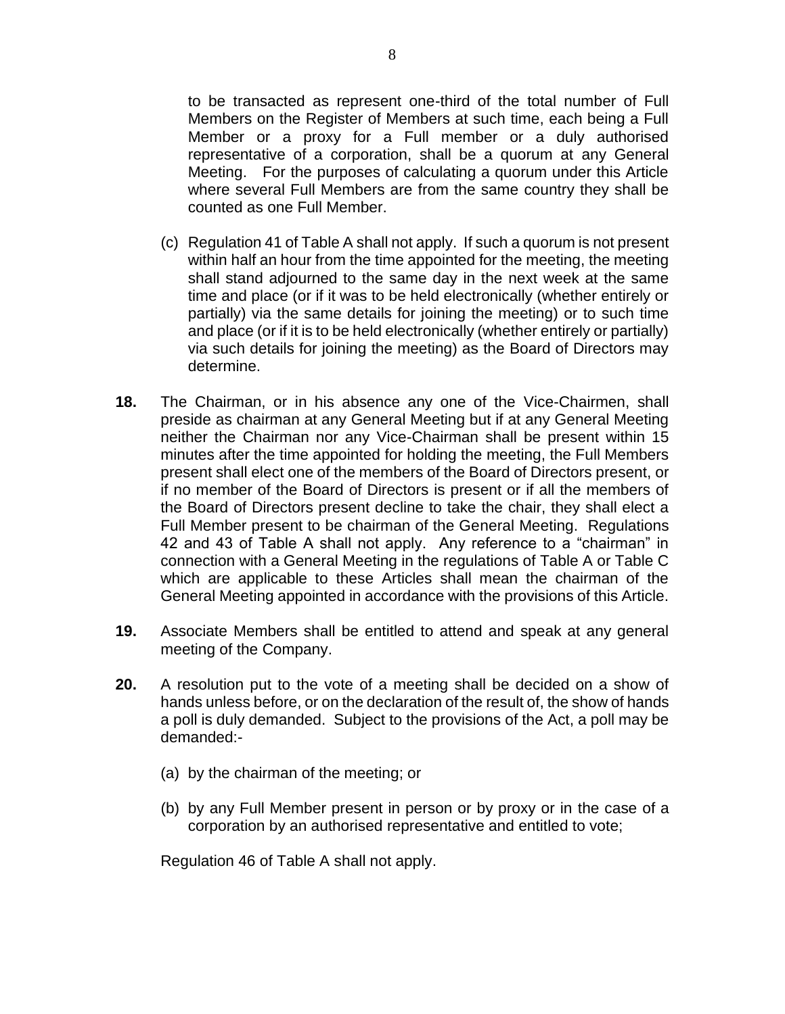to be transacted as represent one-third of the total number of Full Members on the Register of Members at such time, each being a Full Member or a proxy for a Full member or a duly authorised representative of a corporation, shall be a quorum at any General Meeting. For the purposes of calculating a quorum under this Article where several Full Members are from the same country they shall be counted as one Full Member.

- (c) Regulation 41 of Table A shall not apply. If such a quorum is not present within half an hour from the time appointed for the meeting, the meeting shall stand adjourned to the same day in the next week at the same time and place (or if it was to be held electronically (whether entirely or partially) via the same details for joining the meeting) or to such time and place (or if it is to be held electronically (whether entirely or partially) via such details for joining the meeting) as the Board of Directors may determine.
- **18.** The Chairman, or in his absence any one of the Vice-Chairmen, shall preside as chairman at any General Meeting but if at any General Meeting neither the Chairman nor any Vice-Chairman shall be present within 15 minutes after the time appointed for holding the meeting, the Full Members present shall elect one of the members of the Board of Directors present, or if no member of the Board of Directors is present or if all the members of the Board of Directors present decline to take the chair, they shall elect a Full Member present to be chairman of the General Meeting. Regulations 42 and 43 of Table A shall not apply. Any reference to a "chairman" in connection with a General Meeting in the regulations of Table A or Table C which are applicable to these Articles shall mean the chairman of the General Meeting appointed in accordance with the provisions of this Article.
- **19.** Associate Members shall be entitled to attend and speak at any general meeting of the Company.
- **20.** A resolution put to the vote of a meeting shall be decided on a show of hands unless before, or on the declaration of the result of, the show of hands a poll is duly demanded. Subject to the provisions of the Act, a poll may be demanded:-
	- (a) by the chairman of the meeting; or
	- (b) by any Full Member present in person or by proxy or in the case of a corporation by an authorised representative and entitled to vote;

Regulation 46 of Table A shall not apply.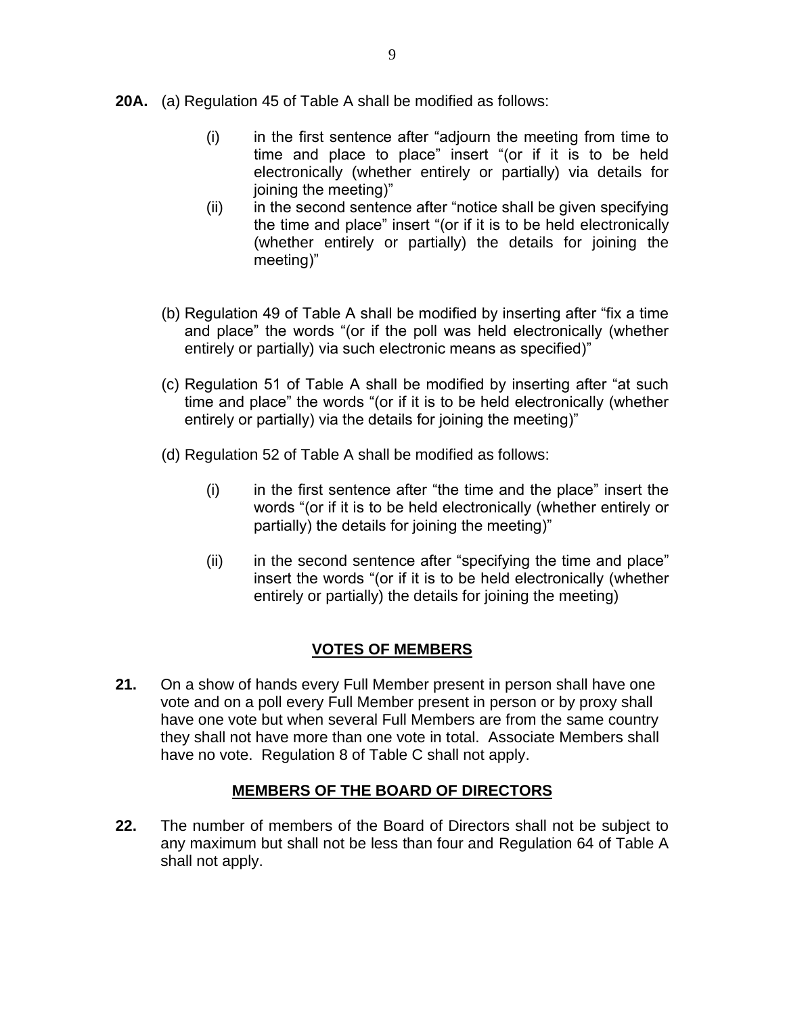- **20A.** (a) Regulation 45 of Table A shall be modified as follows:
	- (i) in the first sentence after "adjourn the meeting from time to time and place to place" insert "(or if it is to be held electronically (whether entirely or partially) via details for joining the meeting)"
	- $(ii)$  in the second sentence after "notice shall be given specifying the time and place" insert "(or if it is to be held electronically (whether entirely or partially) the details for joining the meeting)"
	- (b) Regulation 49 of Table A shall be modified by inserting after "fix a time and place" the words "(or if the poll was held electronically (whether entirely or partially) via such electronic means as specified)"
	- (c) Regulation 51 of Table A shall be modified by inserting after "at such time and place" the words "(or if it is to be held electronically (whether entirely or partially) via the details for joining the meeting)"
	- (d) Regulation 52 of Table A shall be modified as follows:
		- (i) in the first sentence after "the time and the place" insert the words "(or if it is to be held electronically (whether entirely or partially) the details for joining the meeting)"
		- (ii) in the second sentence after "specifying the time and place" insert the words "(or if it is to be held electronically (whether entirely or partially) the details for joining the meeting)

# **VOTES OF MEMBERS**

**21.** On a show of hands every Full Member present in person shall have one vote and on a poll every Full Member present in person or by proxy shall have one vote but when several Full Members are from the same country they shall not have more than one vote in total. Associate Members shall have no vote. Regulation 8 of Table C shall not apply.

## **MEMBERS OF THE BOARD OF DIRECTORS**

**22.** The number of members of the Board of Directors shall not be subject to any maximum but shall not be less than four and Regulation 64 of Table A shall not apply.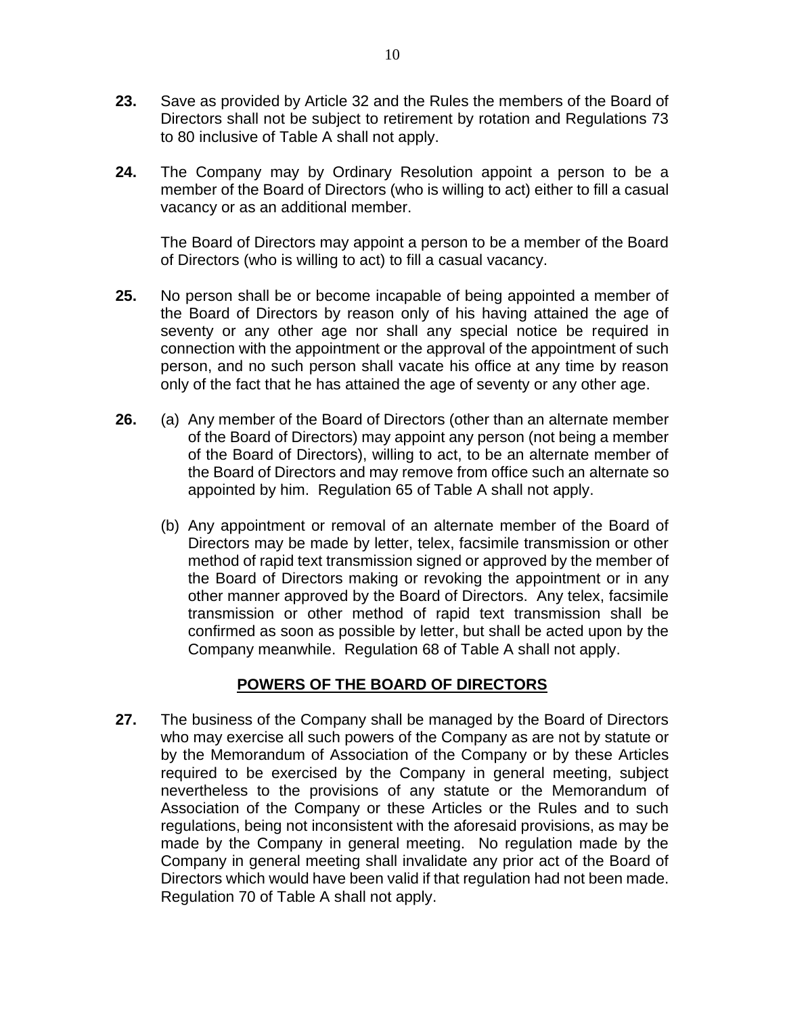- **23.** Save as provided by Article 32 and the Rules the members of the Board of Directors shall not be subject to retirement by rotation and Regulations 73 to 80 inclusive of Table A shall not apply.
- **24.** The Company may by Ordinary Resolution appoint a person to be a member of the Board of Directors (who is willing to act) either to fill a casual vacancy or as an additional member.

The Board of Directors may appoint a person to be a member of the Board of Directors (who is willing to act) to fill a casual vacancy.

- **25.** No person shall be or become incapable of being appointed a member of the Board of Directors by reason only of his having attained the age of seventy or any other age nor shall any special notice be required in connection with the appointment or the approval of the appointment of such person, and no such person shall vacate his office at any time by reason only of the fact that he has attained the age of seventy or any other age.
- **26.** (a) Any member of the Board of Directors (other than an alternate member of the Board of Directors) may appoint any person (not being a member of the Board of Directors), willing to act, to be an alternate member of the Board of Directors and may remove from office such an alternate so appointed by him. Regulation 65 of Table A shall not apply.
	- (b) Any appointment or removal of an alternate member of the Board of Directors may be made by letter, telex, facsimile transmission or other method of rapid text transmission signed or approved by the member of the Board of Directors making or revoking the appointment or in any other manner approved by the Board of Directors. Any telex, facsimile transmission or other method of rapid text transmission shall be confirmed as soon as possible by letter, but shall be acted upon by the Company meanwhile. Regulation 68 of Table A shall not apply.

## **POWERS OF THE BOARD OF DIRECTORS**

**27.** The business of the Company shall be managed by the Board of Directors who may exercise all such powers of the Company as are not by statute or by the Memorandum of Association of the Company or by these Articles required to be exercised by the Company in general meeting, subject nevertheless to the provisions of any statute or the Memorandum of Association of the Company or these Articles or the Rules and to such regulations, being not inconsistent with the aforesaid provisions, as may be made by the Company in general meeting. No regulation made by the Company in general meeting shall invalidate any prior act of the Board of Directors which would have been valid if that regulation had not been made. Regulation 70 of Table A shall not apply.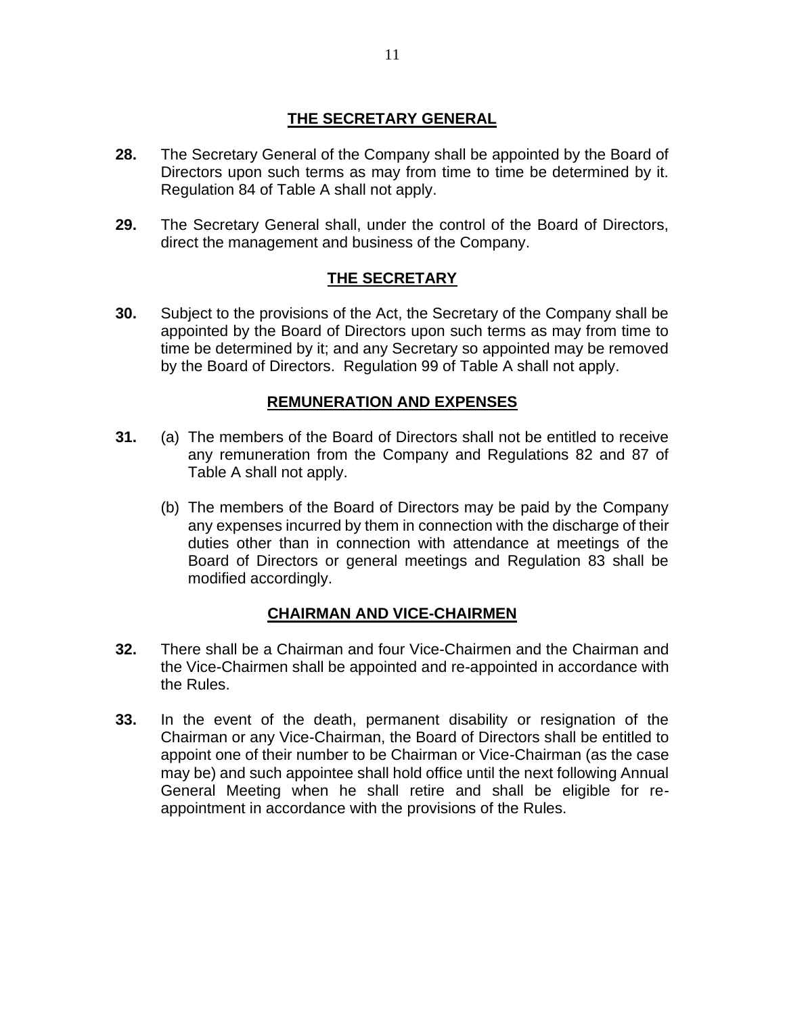## **THE SECRETARY GENERAL**

- **28.** The Secretary General of the Company shall be appointed by the Board of Directors upon such terms as may from time to time be determined by it. Regulation 84 of Table A shall not apply.
- **29.** The Secretary General shall, under the control of the Board of Directors, direct the management and business of the Company.

### **THE SECRETARY**

**30.** Subject to the provisions of the Act, the Secretary of the Company shall be appointed by the Board of Directors upon such terms as may from time to time be determined by it; and any Secretary so appointed may be removed by the Board of Directors. Regulation 99 of Table A shall not apply.

### **REMUNERATION AND EXPENSES**

- **31.** (a) The members of the Board of Directors shall not be entitled to receive any remuneration from the Company and Regulations 82 and 87 of Table A shall not apply.
	- (b) The members of the Board of Directors may be paid by the Company any expenses incurred by them in connection with the discharge of their duties other than in connection with attendance at meetings of the Board of Directors or general meetings and Regulation 83 shall be modified accordingly.

### **CHAIRMAN AND VICE-CHAIRMEN**

- **32.** There shall be a Chairman and four Vice-Chairmen and the Chairman and the Vice-Chairmen shall be appointed and re-appointed in accordance with the Rules.
- **33.** In the event of the death, permanent disability or resignation of the Chairman or any Vice-Chairman, the Board of Directors shall be entitled to appoint one of their number to be Chairman or Vice-Chairman (as the case may be) and such appointee shall hold office until the next following Annual General Meeting when he shall retire and shall be eligible for reappointment in accordance with the provisions of the Rules.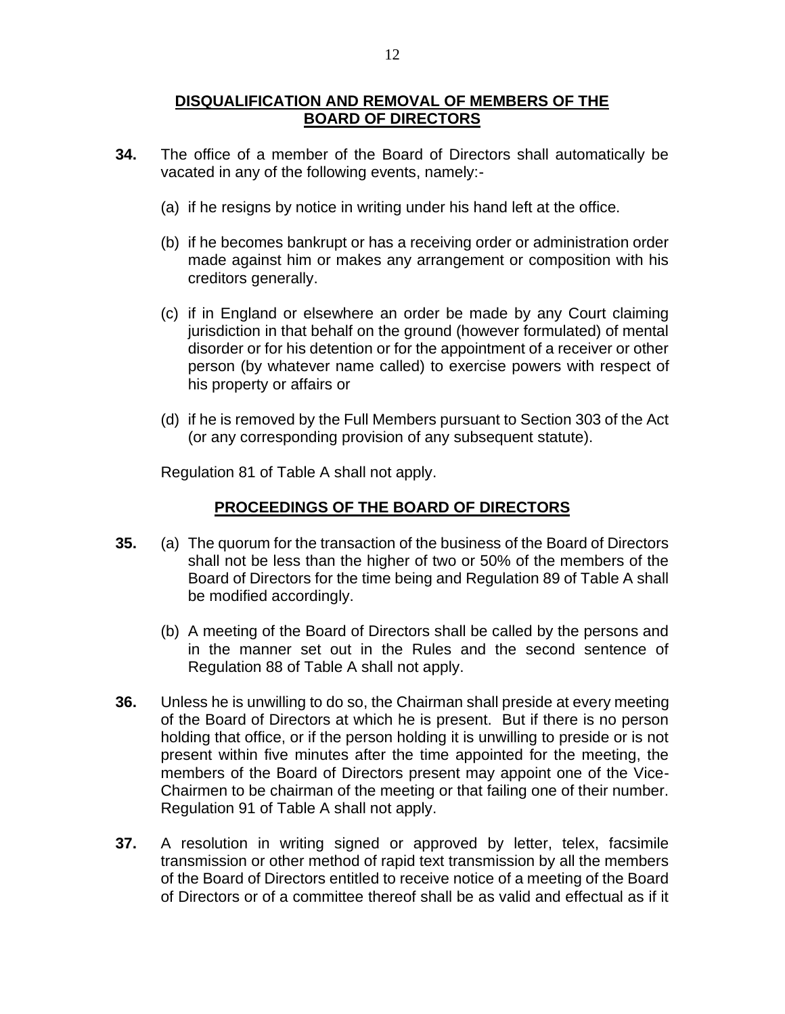### **DISQUALIFICATION AND REMOVAL OF MEMBERS OF THE BOARD OF DIRECTORS**

- **34.** The office of a member of the Board of Directors shall automatically be vacated in any of the following events, namely:-
	- (a) if he resigns by notice in writing under his hand left at the office.
	- (b) if he becomes bankrupt or has a receiving order or administration order made against him or makes any arrangement or composition with his creditors generally.
	- (c) if in England or elsewhere an order be made by any Court claiming jurisdiction in that behalf on the ground (however formulated) of mental disorder or for his detention or for the appointment of a receiver or other person (by whatever name called) to exercise powers with respect of his property or affairs or
	- (d) if he is removed by the Full Members pursuant to Section 303 of the Act (or any corresponding provision of any subsequent statute).

Regulation 81 of Table A shall not apply.

### **PROCEEDINGS OF THE BOARD OF DIRECTORS**

- **35.** (a) The quorum for the transaction of the business of the Board of Directors shall not be less than the higher of two or 50% of the members of the Board of Directors for the time being and Regulation 89 of Table A shall be modified accordingly.
	- (b) A meeting of the Board of Directors shall be called by the persons and in the manner set out in the Rules and the second sentence of Regulation 88 of Table A shall not apply.
- **36.** Unless he is unwilling to do so, the Chairman shall preside at every meeting of the Board of Directors at which he is present. But if there is no person holding that office, or if the person holding it is unwilling to preside or is not present within five minutes after the time appointed for the meeting, the members of the Board of Directors present may appoint one of the Vice-Chairmen to be chairman of the meeting or that failing one of their number. Regulation 91 of Table A shall not apply.
- **37.** A resolution in writing signed or approved by letter, telex, facsimile transmission or other method of rapid text transmission by all the members of the Board of Directors entitled to receive notice of a meeting of the Board of Directors or of a committee thereof shall be as valid and effectual as if it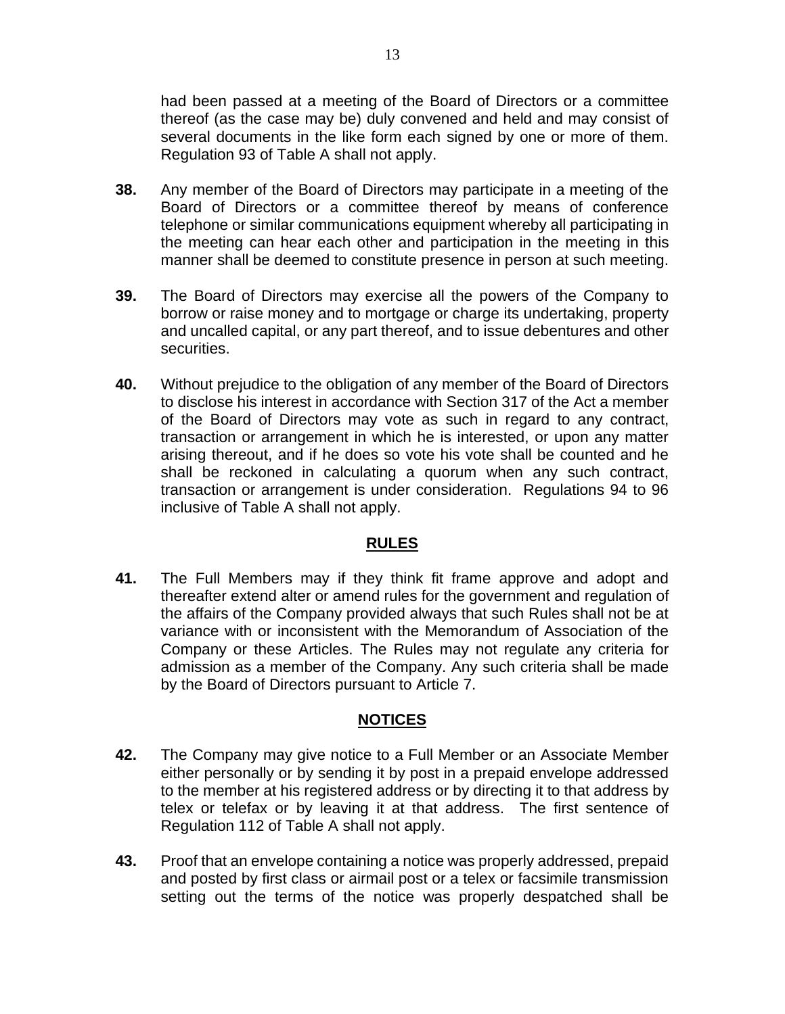had been passed at a meeting of the Board of Directors or a committee thereof (as the case may be) duly convened and held and may consist of several documents in the like form each signed by one or more of them. Regulation 93 of Table A shall not apply.

- **38.** Any member of the Board of Directors may participate in a meeting of the Board of Directors or a committee thereof by means of conference telephone or similar communications equipment whereby all participating in the meeting can hear each other and participation in the meeting in this manner shall be deemed to constitute presence in person at such meeting.
- **39.** The Board of Directors may exercise all the powers of the Company to borrow or raise money and to mortgage or charge its undertaking, property and uncalled capital, or any part thereof, and to issue debentures and other securities.
- **40.** Without prejudice to the obligation of any member of the Board of Directors to disclose his interest in accordance with Section 317 of the Act a member of the Board of Directors may vote as such in regard to any contract, transaction or arrangement in which he is interested, or upon any matter arising thereout, and if he does so vote his vote shall be counted and he shall be reckoned in calculating a quorum when any such contract, transaction or arrangement is under consideration. Regulations 94 to 96 inclusive of Table A shall not apply.

### **RULES**

**41.** The Full Members may if they think fit frame approve and adopt and thereafter extend alter or amend rules for the government and regulation of the affairs of the Company provided always that such Rules shall not be at variance with or inconsistent with the Memorandum of Association of the Company or these Articles. The Rules may not regulate any criteria for admission as a member of the Company. Any such criteria shall be made by the Board of Directors pursuant to Article 7.

## **NOTICES**

- **42.** The Company may give notice to a Full Member or an Associate Member either personally or by sending it by post in a prepaid envelope addressed to the member at his registered address or by directing it to that address by telex or telefax or by leaving it at that address. The first sentence of Regulation 112 of Table A shall not apply.
- **43.** Proof that an envelope containing a notice was properly addressed, prepaid and posted by first class or airmail post or a telex or facsimile transmission setting out the terms of the notice was properly despatched shall be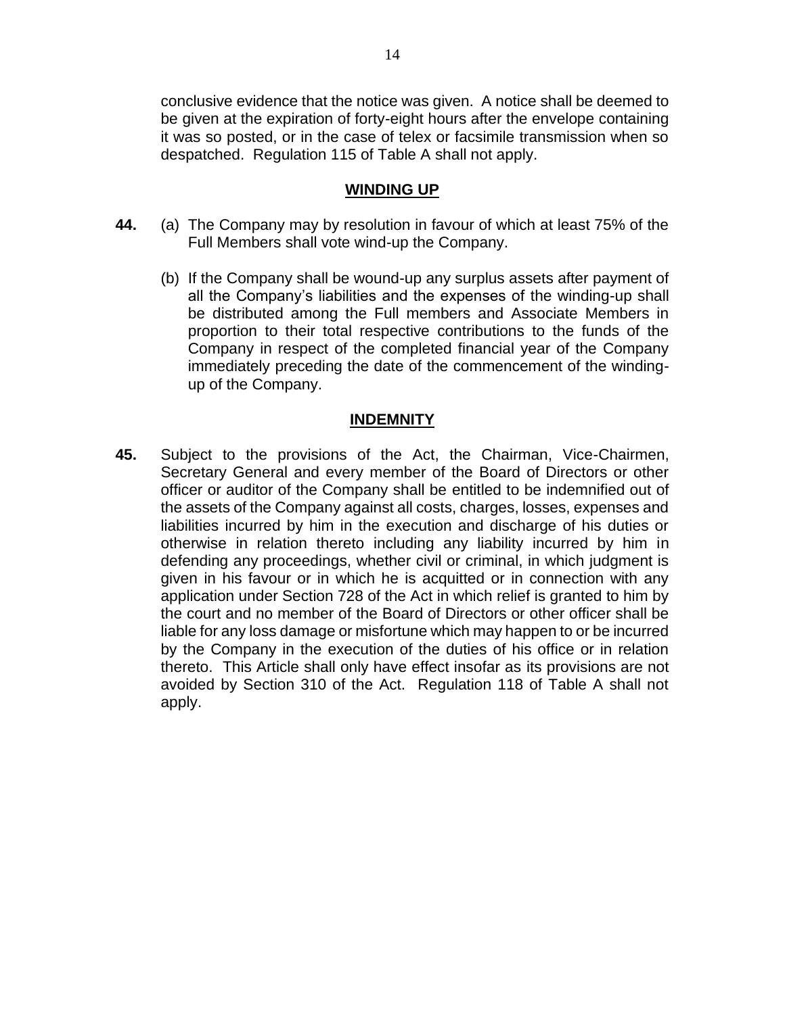conclusive evidence that the notice was given. A notice shall be deemed to be given at the expiration of forty-eight hours after the envelope containing it was so posted, or in the case of telex or facsimile transmission when so despatched. Regulation 115 of Table A shall not apply.

### **WINDING UP**

- **44.** (a) The Company may by resolution in favour of which at least 75% of the Full Members shall vote wind-up the Company.
	- (b) If the Company shall be wound-up any surplus assets after payment of all the Company's liabilities and the expenses of the winding-up shall be distributed among the Full members and Associate Members in proportion to their total respective contributions to the funds of the Company in respect of the completed financial year of the Company immediately preceding the date of the commencement of the windingup of the Company.

### **INDEMNITY**

**45.** Subject to the provisions of the Act, the Chairman, Vice-Chairmen, Secretary General and every member of the Board of Directors or other officer or auditor of the Company shall be entitled to be indemnified out of the assets of the Company against all costs, charges, losses, expenses and liabilities incurred by him in the execution and discharge of his duties or otherwise in relation thereto including any liability incurred by him in defending any proceedings, whether civil or criminal, in which judgment is given in his favour or in which he is acquitted or in connection with any application under Section 728 of the Act in which relief is granted to him by the court and no member of the Board of Directors or other officer shall be liable for any loss damage or misfortune which may happen to or be incurred by the Company in the execution of the duties of his office or in relation thereto. This Article shall only have effect insofar as its provisions are not avoided by Section 310 of the Act. Regulation 118 of Table A shall not apply.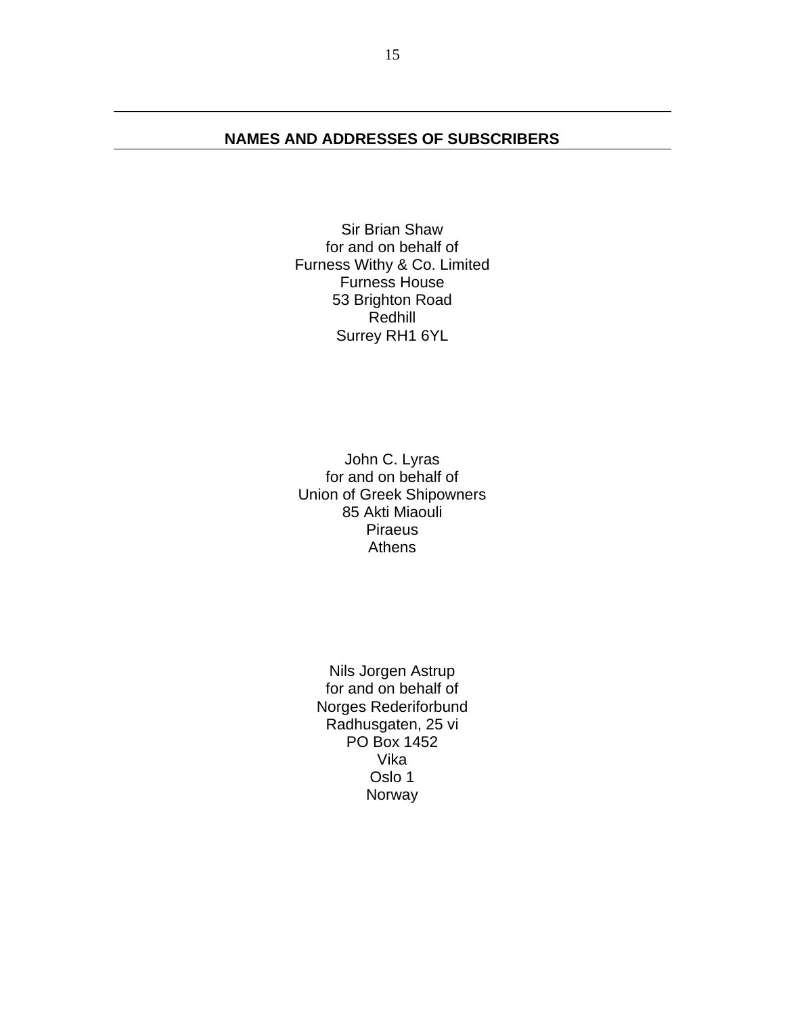## **NAMES AND ADDRESSES OF SUBSCRIBERS**

Sir Brian Shaw for and on behalf of Furness Withy & Co. Limited Furness House 53 Brighton Road Redhill Surrey RH1 6YL

John C. Lyras for and on behalf of Union of Greek Shipowners 85 Akti Miaouli Piraeus Athens

Nils Jorgen Astrup for and on behalf of Norges Rederiforbund Radhusgaten, 25 vi PO Box 1452 Vika Oslo 1 Norway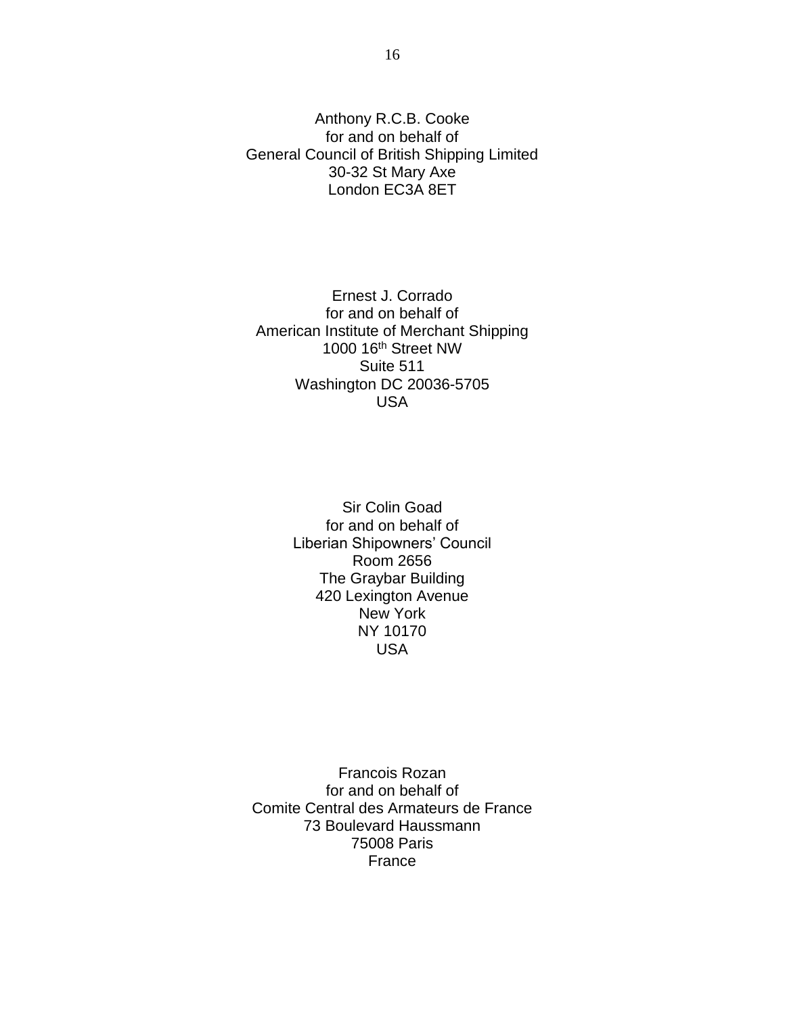Anthony R.C.B. Cooke for and on behalf of General Council of British Shipping Limited 30-32 St Mary Axe London EC3A 8ET

Ernest J. Corrado for and on behalf of American Institute of Merchant Shipping 1000 16th Street NW Suite 511 Washington DC 20036-5705 USA

> Sir Colin Goad for and on behalf of Liberian Shipowners' Council Room 2656 The Graybar Building 420 Lexington Avenue New York NY 10170 USA

Francois Rozan for and on behalf of Comite Central des Armateurs de France 73 Boulevard Haussmann 75008 Paris France